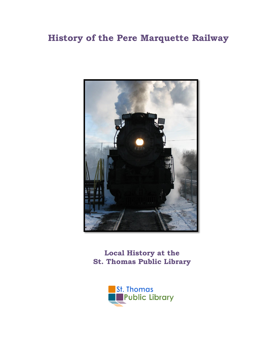## **History of the Pere Marquette Railway**



**Local History at the St. Thomas Public Library**

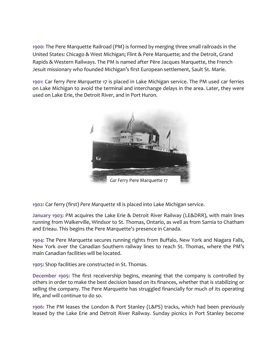**1900:** The Pere Marquette Railroad (PM) is formed by merging three small railroads in the United States: Chicago & West Michigan; Flint & Pere Marquette; and the Detroit, Grand Rapids & Western Railways. The PM is named after Père Jacques Marquette, the French Jesuit missionary who founded Michigan's first European settlement, Sault St. Marie.

**1901:** Car ferry *Pere Marquette 17* is placed in Lake Michigan service. The PM used car ferries on Lake Michigan to avoid the terminal and interchange delays in the area. Later, they were used on Lake Erie, the Detroit River, and in Port Huron.



**1902:** Car ferry (first) *Pere Marquette 18* is placed into Lake Michigan service.

**January 1903:** PM acquires the Lake Erie & Detroit River Railway (LE&DRR), with main lines running from Walkerville, Windsor to St. Thomas, Ontario, as well as from Sarnia to Chatham and Erieau. This begins the Pere Marquette's presence in Canada.

**1904:** The Pere Marquette secures running rights from Buffalo, New York and Niagara Falls, New York over the Canadian Southern railway lines to reach St. Thomas, where the PM's main Canadian facilities will be located.

**1905:** Shop facilities are constructed in St. Thomas.

**December 1905:** The first receivership begins, meaning that the company is controlled by others in order to make the best decision based on its finances, whether that is stabilizing or selling the company. The Pere Marquette has struggled financially for much of its operating life, and will continue to do so.

**1906:** The PM leases the London & Port Stanley (L&PS) tracks, which had been previously leased by the Lake Erie and Detroit River Railway. Sunday picnics in Port Stanley become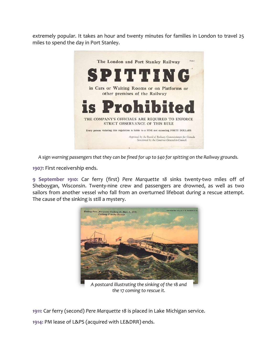extremely popular. It takes an hour and twenty minutes for families in London to travel 25 miles to spend the day in Port Stanley.



*A sign warning passengers that they can be fined for up to \$40 for spitting on the Railway grounds.*

**1907:** First receivership ends.

**9 September 1910:** Car ferry (first) *Pere Marquette 18* sinks twenty-two miles off of Sheboygan, Wisconsin. Twenty-nine crew and passengers are drowned, as well as two sailors from another vessel who fall from an overturned lifeboat during a rescue attempt. The cause of the sinking is still a mystery.



*A postcard illustrating the sinking of the* 18 *and the* 17 *coming to rescue it.*

**1911:** Car ferry (second) *Pere Marquette 18* is placed in Lake Michigan service.

**1914:** PM lease of L&PS (acquired with LE&DRR) ends.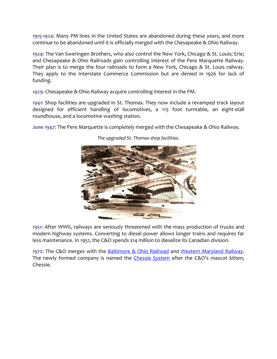**1915-1924:** Many PM lines in the United States are abandoned during these years, and more continue to be abandoned until it is officially merged with the Chesapeake & Ohio Railway.

**1924:** The Van Sweringen Brothers, who also control the New York, Chicago & St. Louis; Erie; and Chesapeake & Ohio Railroads gain controlling interest of the Pere Marquette Railway. Their plan is to merge the four railroads to form a New York, Chicago & St. Louis railway. They apply to the Interstate Commerce Commission but are denied in 1926 for lack of funding.

**1929:** Chesapeake & Ohio Railway acquire controlling interest in the PM.

**1941:** Shop facilities are upgraded in St. Thomas. They now include a revamped track layout designed for efficient handling of locomotives, a 115 foot turntable, an eight-stall roundhouse, and a locomotive washing station.

**June 1947**: The Pere Marquette is completely merged with the Chesapeake & Ohio Railway.



*The upgraded St. Thomas shop facilities.*

**1951:** After WWII, railways are seriously threatened with the mass production of trucks and modern highway systems. Converting to diesel power allows longer trains and requires far less maintenance. In 1951, the C&O spends \$14 million to dieselize its Canadian division.

**1972:** The C&O merges with the [Baltimore & Ohio Railroad](http://en.wikipedia.org/wiki/Baltimore_and_Ohio_Railroad) and [Western Maryland Railway.](http://en.wikipedia.org/wiki/Western_Maryland_Railway) The newly formed company is named the [Chessie System](http://en.wikipedia.org/wiki/Chessie_System) after the C&O's mascot kitten, Chessie.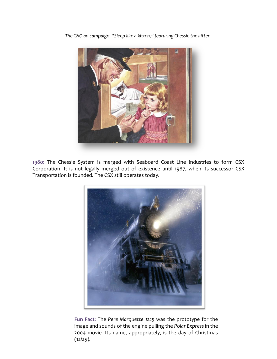

*The C&O ad campaign: "Sleep like a kitten," featuring Chessie the kitten.*

**1980:** The Chessie System is merged with Seaboard Coast Line Industries to form CSX Corporation. It is not legally merged out of existence until 1987, when its successor CSX Transportation is founded. The CSX still operates today.



**Fun Fact:** The *Pere Marquette 1225* was the prototype for the image and sounds of the engine pulling the *Polar Express* in the 2004 movie. Its name, appropriately, is the day of Christmas  $(12/25)$ .